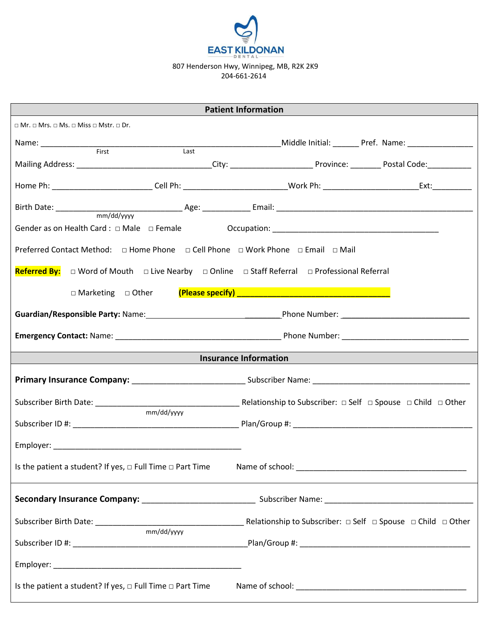

807 Henderson Hwy, Winnipeg, MB, R2K 2K9 204-661-2614

| <b>Patient Information</b>                                                                                                   |                                                                                                                                                                                                                                |  |
|------------------------------------------------------------------------------------------------------------------------------|--------------------------------------------------------------------------------------------------------------------------------------------------------------------------------------------------------------------------------|--|
| $\Box$ Mr. $\Box$ Mrs. $\Box$ Ms. $\Box$ Miss $\Box$ Mstr. $\Box$ Dr.                                                        |                                                                                                                                                                                                                                |  |
|                                                                                                                              |                                                                                                                                                                                                                                |  |
|                                                                                                                              |                                                                                                                                                                                                                                |  |
|                                                                                                                              |                                                                                                                                                                                                                                |  |
|                                                                                                                              |                                                                                                                                                                                                                                |  |
|                                                                                                                              |                                                                                                                                                                                                                                |  |
| Preferred Contact Method: □ Home Phone □ Cell Phone □ Work Phone □ Email □ Mail                                              |                                                                                                                                                                                                                                |  |
| <b>Referred By:</b> $\Box$ Word of Mouth $\Box$ Live Nearby $\Box$ Online $\Box$ Staff Referral $\Box$ Professional Referral |                                                                                                                                                                                                                                |  |
|                                                                                                                              |                                                                                                                                                                                                                                |  |
|                                                                                                                              | Guardian/Responsible Party: Name: Name and Controller Controller Phone Number: Name Phone Number: Name and Controller Controller Phone Numbers and Controller Controller Controller Controller Phone Numbers and Controller Co |  |
|                                                                                                                              |                                                                                                                                                                                                                                |  |
| <b>Insurance Information</b>                                                                                                 |                                                                                                                                                                                                                                |  |
|                                                                                                                              | Primary Insurance Company: __________________________________Subscriber Name: ________________________________                                                                                                                 |  |
| Subscriber Birth Date: ____________<br>mm/dd/yyyy                                                                            | <b>Example 20 Relationship to Subscriber:</b> $\Box$ Self $\Box$ Spouse $\Box$ Child $\Box$ Other                                                                                                                              |  |
|                                                                                                                              |                                                                                                                                                                                                                                |  |
|                                                                                                                              |                                                                                                                                                                                                                                |  |
| Is the patient a student? If yes, $\Box$ Full Time $\Box$ Part Time                                                          |                                                                                                                                                                                                                                |  |
|                                                                                                                              |                                                                                                                                                                                                                                |  |
| $\frac{1}{\text{mm}/\text{dd}/\text{yy}$                                                                                     |                                                                                                                                                                                                                                |  |
|                                                                                                                              |                                                                                                                                                                                                                                |  |
|                                                                                                                              |                                                                                                                                                                                                                                |  |
| Is the patient a student? If yes, $\Box$ Full Time $\Box$ Part Time                                                          |                                                                                                                                                                                                                                |  |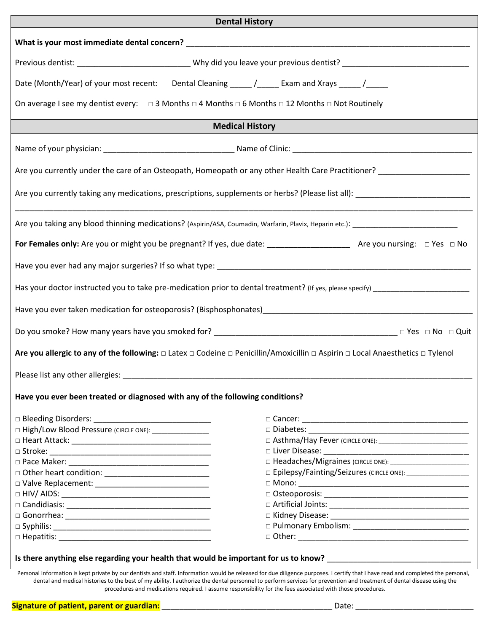| <b>Dental History</b>                                                                                                                                                                                                         |  |  |
|-------------------------------------------------------------------------------------------------------------------------------------------------------------------------------------------------------------------------------|--|--|
|                                                                                                                                                                                                                               |  |  |
|                                                                                                                                                                                                                               |  |  |
| Date (Month/Year) of your most recent: Dental Cleaning _____ /_____ Exam and Xrays _____ /_____                                                                                                                               |  |  |
| On average I see my dentist every: $\Box$ 3 Months $\Box$ 4 Months $\Box$ 6 Months $\Box$ 12 Months $\Box$ Not Routinely                                                                                                      |  |  |
|                                                                                                                                                                                                                               |  |  |
| <b>Medical History</b>                                                                                                                                                                                                        |  |  |
|                                                                                                                                                                                                                               |  |  |
| Are you currently under the care of an Osteopath, Homeopath or any other Health Care Practitioner? [100] Are was research the care was related to the care was related to the care was related to the care was related to the |  |  |
|                                                                                                                                                                                                                               |  |  |
| Are you taking any blood thinning medications? (Aspirin/ASA, Coumadin, Warfarin, Plavix, Heparin etc.): _______________________________                                                                                       |  |  |
|                                                                                                                                                                                                                               |  |  |
|                                                                                                                                                                                                                               |  |  |
|                                                                                                                                                                                                                               |  |  |
|                                                                                                                                                                                                                               |  |  |
|                                                                                                                                                                                                                               |  |  |
|                                                                                                                                                                                                                               |  |  |
| Are you allergic to any of the following: $\Box$ Latex $\Box$ Codeine $\Box$ Penicillin/Amoxicillin $\Box$ Aspirin $\Box$ Local Anaesthetics $\Box$ Tylenol                                                                   |  |  |
|                                                                                                                                                                                                                               |  |  |
| Have you ever been treated or diagnosed with any of the following conditions?                                                                                                                                                 |  |  |
|                                                                                                                                                                                                                               |  |  |
| □ High/Low Blood Pressure (CIRCLE ONE): _________________                                                                                                                                                                     |  |  |
|                                                                                                                                                                                                                               |  |  |
|                                                                                                                                                                                                                               |  |  |
|                                                                                                                                                                                                                               |  |  |
|                                                                                                                                                                                                                               |  |  |
|                                                                                                                                                                                                                               |  |  |
|                                                                                                                                                                                                                               |  |  |
|                                                                                                                                                                                                                               |  |  |
|                                                                                                                                                                                                                               |  |  |
|                                                                                                                                                                                                                               |  |  |
|                                                                                                                                                                                                                               |  |  |
|                                                                                                                                                                                                                               |  |  |

Personal Information is kept private by our dentists and staff. Information would be released for due diligence purposes. I certify that I have read and completed the personal, dental and medical histories to the best of my ability. I authorize the dental personnel to perform services for prevention and treatment of dental disease using the procedures and medications required. I assume responsibility for the fees associated with those procedures.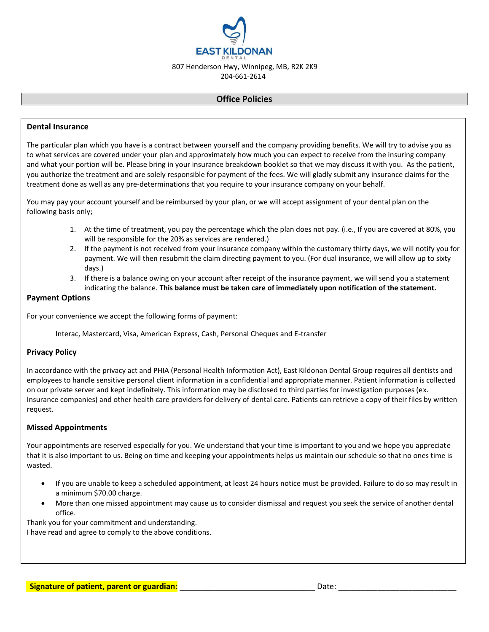

204-661-2614

## **Office Policies**

## **Dental Insurance**

The particular plan which you have is a contract between yourself and the company providing benefits. We will try to advise you as to what services are covered under your plan and approximately how much you can expect to receive from the insuring company and what your portion will be. Please bring in your insurance breakdown booklet so that we may discuss it with you. As the patient, you authorize the treatment and are solely responsible for payment of the fees. We will gladly submit any insurance claims for the treatment done as well as any pre-determinations that you require to your insurance company on your behalf.

You may pay your account yourself and be reimbursed by your plan, or we will accept assignment of your dental plan on the following basis only;

- 1. At the time of treatment, you pay the percentage which the plan does not pay. (i.e., If you are covered at 80%, you will be responsible for the 20% as services are rendered.)
- 2. If the payment is not received from your insurance company within the customary thirty days, we will notify you for payment. We will then resubmit the claim directing payment to you. (For dual insurance, we will allow up to sixty days.)
- 3. If there is a balance owing on your account after receipt of the insurance payment, we will send you a statement indicating the balance. **This balance must be taken care of immediately upon notification of the statement.**

#### **Payment Options**

For your convenience we accept the following forms of payment:

Interac, Mastercard, Visa, American Express, Cash, Personal Cheques and E-transfer

#### **Privacy Policy**

In accordance with the privacy act and PHIA (Personal Health Information Act), East Kildonan Dental Group requires all dentists and employees to handle sensitive personal client information in a confidential and appropriate manner. Patient information is collected on our private server and kept indefinitely. This information may be disclosed to third parties for investigation purposes (ex. Insurance companies) and other health care providers for delivery of dental care. Patients can retrieve a copy of their files by written request.

#### **Missed Appointments**

Your appointments are reserved especially for you. We understand that your time is important to you and we hope you appreciate that it is also important to us. Being on time and keeping your appointments helps us maintain our schedule so that no ones time is wasted.

- If you are unable to keep a scheduled appointment, at least 24 hours notice must be provided. Failure to do so may result in a minimum \$70.00 charge.
- More than one missed appointment may cause us to consider dismissal and request you seek the service of another dental office.

Thank you for your commitment and understanding.

I have read and agree to comply to the above conditions.